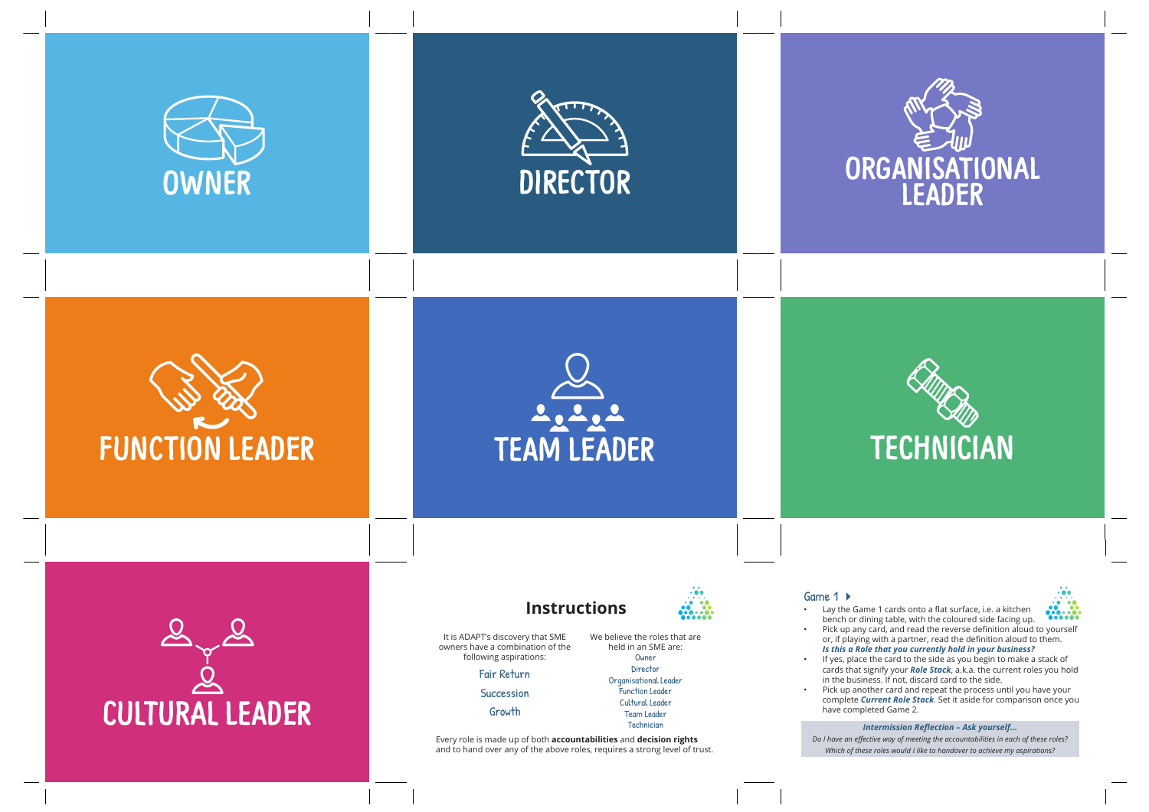